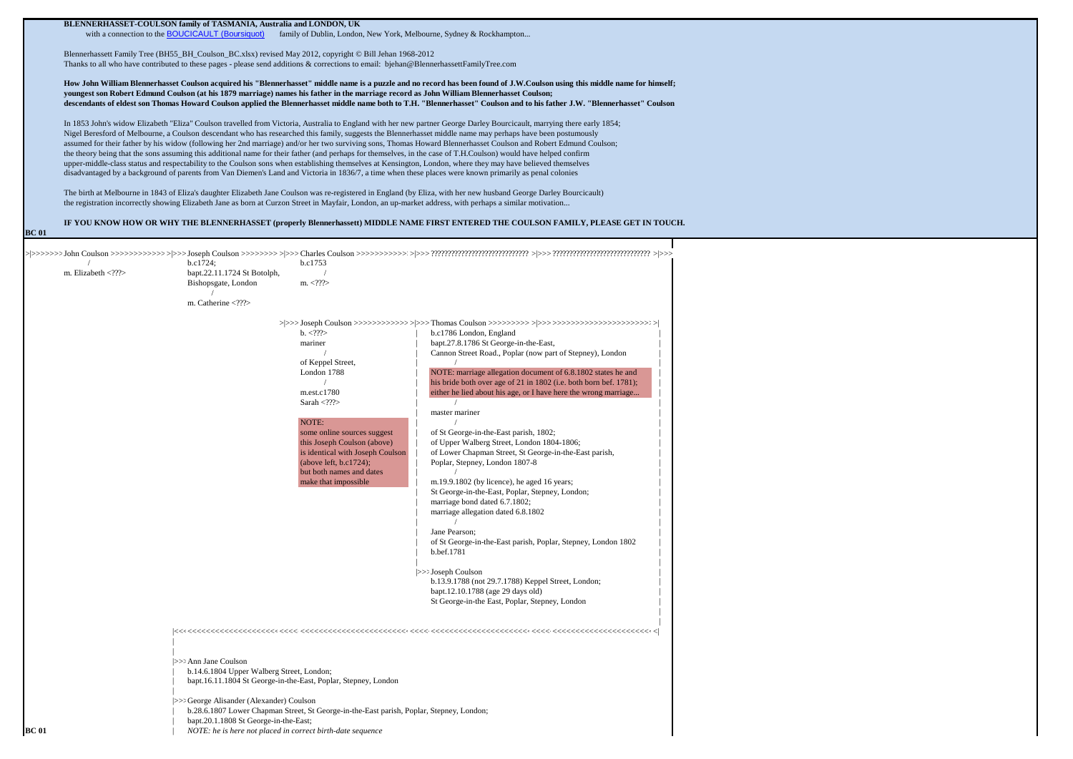|              |                                                                                                                                                                                                                                                                                                                                                                                                                                                                                                                                                                                                                                                                                                                                                          | BLENNERHASSET-COULSON family of TASMANIA, Australia and LONDON, UK                                                                                          |                                                                                          |                                                                                                                                       |  |  |  |  |  |
|--------------|----------------------------------------------------------------------------------------------------------------------------------------------------------------------------------------------------------------------------------------------------------------------------------------------------------------------------------------------------------------------------------------------------------------------------------------------------------------------------------------------------------------------------------------------------------------------------------------------------------------------------------------------------------------------------------------------------------------------------------------------------------|-------------------------------------------------------------------------------------------------------------------------------------------------------------|------------------------------------------------------------------------------------------|---------------------------------------------------------------------------------------------------------------------------------------|--|--|--|--|--|
|              | with a connection to the <b>BOUCICAULT</b> (Boursiquot)<br>family of Dublin, London, New York, Melbourne, Sydney & Rockhampton                                                                                                                                                                                                                                                                                                                                                                                                                                                                                                                                                                                                                           |                                                                                                                                                             |                                                                                          |                                                                                                                                       |  |  |  |  |  |
|              | Blennerhassett Family Tree (BH55_BH_Coulson_BC.xlsx) revised May 2012, copyright © Bill Jehan 1968-2012<br>Thanks to all who have contributed to these pages - please send additions & corrections to email: bjehan@BlennerhassettFamilyTree.com<br>How John William Blennerhasset Coulson acquired his "Blennerhasset" middle name is a puzzle and no record has been found of J.W.Coulson using this middle name for himself;<br>youngest son Robert Edmund Coulson (at his 1879 marriage) names his father in the marriage record as John William Blennerhasset Coulson;<br>descendants of eldest son Thomas Howard Coulson applied the Blennerhasset middle name both to T.H. "Blennerhasset" Coulson and to his father J.W. "Blennerhasset" Coulson |                                                                                                                                                             |                                                                                          |                                                                                                                                       |  |  |  |  |  |
|              |                                                                                                                                                                                                                                                                                                                                                                                                                                                                                                                                                                                                                                                                                                                                                          |                                                                                                                                                             |                                                                                          |                                                                                                                                       |  |  |  |  |  |
|              |                                                                                                                                                                                                                                                                                                                                                                                                                                                                                                                                                                                                                                                                                                                                                          |                                                                                                                                                             |                                                                                          |                                                                                                                                       |  |  |  |  |  |
|              | In 1853 John's widow Elizabeth "Eliza" Coulson travelled from Victoria, Australia to England with her new partner George Darley Bourcicault, marrying there early 1854;                                                                                                                                                                                                                                                                                                                                                                                                                                                                                                                                                                                  |                                                                                                                                                             |                                                                                          |                                                                                                                                       |  |  |  |  |  |
|              |                                                                                                                                                                                                                                                                                                                                                                                                                                                                                                                                                                                                                                                                                                                                                          | Nigel Beresford of Melbourne, a Coulson descendant who has researched this family, suggests the Blennerhasset middle name may perhaps have been postumously |                                                                                          |                                                                                                                                       |  |  |  |  |  |
|              | assumed for their father by his widow (following her 2nd marriage) and/or her two surviving sons, Thomas Howard Blennerhasset Coulson and Robert Edmund Coulson;<br>the theory being that the sons assuming this additional name for their father (and perhaps for themselves, in the case of T.H.Coulson) would have helped confirm<br>upper-middle-class status and respectability to the Coulson sons when establishing themselves at Kensington, London, where they may have believed themselves<br>disadvantaged by a background of parents from Van Diemen's Land and Victoria in 1836/7, a time when these places were known primarily as penal colonies                                                                                          |                                                                                                                                                             |                                                                                          |                                                                                                                                       |  |  |  |  |  |
|              |                                                                                                                                                                                                                                                                                                                                                                                                                                                                                                                                                                                                                                                                                                                                                          |                                                                                                                                                             |                                                                                          |                                                                                                                                       |  |  |  |  |  |
|              | The birth at Melbourne in 1843 of Eliza's daughter Elizabeth Jane Coulson was re-registered in England (by Eliza, with her new husband George Darley Bourcicault)<br>the registration incorrectly showing Elizabeth Jane as born at Curzon Street in Mayfair, London, an up-market address, with perhaps a similar motivation                                                                                                                                                                                                                                                                                                                                                                                                                            |                                                                                                                                                             |                                                                                          |                                                                                                                                       |  |  |  |  |  |
| <b>BC</b> 01 |                                                                                                                                                                                                                                                                                                                                                                                                                                                                                                                                                                                                                                                                                                                                                          |                                                                                                                                                             |                                                                                          | IF YOU KNOW HOW OR WHY THE BLENNERHASSET (properly Blennerhassett) MIDDLE NAME FIRST ENTERED THE COULSON FAMILY, PLEASE GET IN TOUCH. |  |  |  |  |  |
|              |                                                                                                                                                                                                                                                                                                                                                                                                                                                                                                                                                                                                                                                                                                                                                          |                                                                                                                                                             |                                                                                          |                                                                                                                                       |  |  |  |  |  |
|              |                                                                                                                                                                                                                                                                                                                                                                                                                                                                                                                                                                                                                                                                                                                                                          | b.c1724;                                                                                                                                                    | b.c1753                                                                                  |                                                                                                                                       |  |  |  |  |  |
|              | m. Elizabeth $\langle$ ??? $\rangle$                                                                                                                                                                                                                                                                                                                                                                                                                                                                                                                                                                                                                                                                                                                     | bapt.22.11.1724 St Botolph,                                                                                                                                 |                                                                                          |                                                                                                                                       |  |  |  |  |  |
|              |                                                                                                                                                                                                                                                                                                                                                                                                                                                                                                                                                                                                                                                                                                                                                          | Bishopsgate, London                                                                                                                                         | m. $\langle$ ???>                                                                        |                                                                                                                                       |  |  |  |  |  |
|              |                                                                                                                                                                                                                                                                                                                                                                                                                                                                                                                                                                                                                                                                                                                                                          | m. Catherine ??                                                                                                                                             |                                                                                          |                                                                                                                                       |  |  |  |  |  |
|              |                                                                                                                                                                                                                                                                                                                                                                                                                                                                                                                                                                                                                                                                                                                                                          |                                                                                                                                                             |                                                                                          |                                                                                                                                       |  |  |  |  |  |
|              |                                                                                                                                                                                                                                                                                                                                                                                                                                                                                                                                                                                                                                                                                                                                                          |                                                                                                                                                             | b. < ???<br>mariner                                                                      | b.c1786 London, England<br>bapt.27.8.1786 St George-in-the-East,                                                                      |  |  |  |  |  |
|              |                                                                                                                                                                                                                                                                                                                                                                                                                                                                                                                                                                                                                                                                                                                                                          |                                                                                                                                                             |                                                                                          | Cannon Street Road., Poplar (now part of Stepney), London                                                                             |  |  |  |  |  |
|              |                                                                                                                                                                                                                                                                                                                                                                                                                                                                                                                                                                                                                                                                                                                                                          |                                                                                                                                                             | of Keppel Street,                                                                        |                                                                                                                                       |  |  |  |  |  |
|              |                                                                                                                                                                                                                                                                                                                                                                                                                                                                                                                                                                                                                                                                                                                                                          |                                                                                                                                                             | London 1788                                                                              | NOTE: marriage allegation document of 6.8.1802 states he and<br>his bride both over age of 21 in 1802 (i.e. both born bef. 1781);     |  |  |  |  |  |
|              |                                                                                                                                                                                                                                                                                                                                                                                                                                                                                                                                                                                                                                                                                                                                                          |                                                                                                                                                             | m.est.c1780                                                                              | either he lied about his age, or I have here the wrong marriage                                                                       |  |  |  |  |  |
|              |                                                                                                                                                                                                                                                                                                                                                                                                                                                                                                                                                                                                                                                                                                                                                          |                                                                                                                                                             | Sarah < $??$                                                                             | $\prime$<br>master mariner                                                                                                            |  |  |  |  |  |
|              |                                                                                                                                                                                                                                                                                                                                                                                                                                                                                                                                                                                                                                                                                                                                                          |                                                                                                                                                             | NOTE:                                                                                    |                                                                                                                                       |  |  |  |  |  |
|              |                                                                                                                                                                                                                                                                                                                                                                                                                                                                                                                                                                                                                                                                                                                                                          |                                                                                                                                                             | some online sources suggest<br>this Joseph Coulson (above)                               | of St George-in-the-East parish, 1802;<br>of Upper Walberg Street, London 1804-1806;                                                  |  |  |  |  |  |
|              |                                                                                                                                                                                                                                                                                                                                                                                                                                                                                                                                                                                                                                                                                                                                                          |                                                                                                                                                             | is identical with Joseph Coulson                                                         | of Lower Chapman Street, St George-in-the-East parish,                                                                                |  |  |  |  |  |
|              |                                                                                                                                                                                                                                                                                                                                                                                                                                                                                                                                                                                                                                                                                                                                                          |                                                                                                                                                             | (above left, $b.c1724$ );<br>but both names and dates                                    | Poplar, Stepney, London 1807-8                                                                                                        |  |  |  |  |  |
|              |                                                                                                                                                                                                                                                                                                                                                                                                                                                                                                                                                                                                                                                                                                                                                          |                                                                                                                                                             | make that impossible                                                                     | m.19.9.1802 (by licence), he aged 16 years;                                                                                           |  |  |  |  |  |
|              |                                                                                                                                                                                                                                                                                                                                                                                                                                                                                                                                                                                                                                                                                                                                                          |                                                                                                                                                             |                                                                                          | St George-in-the-East, Poplar, Stepney, London;                                                                                       |  |  |  |  |  |
|              |                                                                                                                                                                                                                                                                                                                                                                                                                                                                                                                                                                                                                                                                                                                                                          |                                                                                                                                                             |                                                                                          | marriage bond dated 6.7.1802;<br>marriage allegation dated 6.8.1802                                                                   |  |  |  |  |  |
|              |                                                                                                                                                                                                                                                                                                                                                                                                                                                                                                                                                                                                                                                                                                                                                          |                                                                                                                                                             |                                                                                          |                                                                                                                                       |  |  |  |  |  |
|              |                                                                                                                                                                                                                                                                                                                                                                                                                                                                                                                                                                                                                                                                                                                                                          |                                                                                                                                                             |                                                                                          | Jane Pearson:<br>of St George-in-the-East parish, Poplar, Stepney, London 1802<br>b.bef.1781                                          |  |  |  |  |  |
|              |                                                                                                                                                                                                                                                                                                                                                                                                                                                                                                                                                                                                                                                                                                                                                          |                                                                                                                                                             |                                                                                          | $>>$ : Joseph Coulson                                                                                                                 |  |  |  |  |  |
|              |                                                                                                                                                                                                                                                                                                                                                                                                                                                                                                                                                                                                                                                                                                                                                          |                                                                                                                                                             |                                                                                          | b.13.9.1788 (not 29.7.1788) Keppel Street, London;                                                                                    |  |  |  |  |  |
|              |                                                                                                                                                                                                                                                                                                                                                                                                                                                                                                                                                                                                                                                                                                                                                          |                                                                                                                                                             |                                                                                          | bapt.12.10.1788 (age 29 days old)<br>St George-in-the East, Poplar, Stepney, London                                                   |  |  |  |  |  |
|              |                                                                                                                                                                                                                                                                                                                                                                                                                                                                                                                                                                                                                                                                                                                                                          |                                                                                                                                                             |                                                                                          |                                                                                                                                       |  |  |  |  |  |
|              |                                                                                                                                                                                                                                                                                                                                                                                                                                                                                                                                                                                                                                                                                                                                                          |                                                                                                                                                             |                                                                                          |                                                                                                                                       |  |  |  |  |  |
|              |                                                                                                                                                                                                                                                                                                                                                                                                                                                                                                                                                                                                                                                                                                                                                          |                                                                                                                                                             |                                                                                          |                                                                                                                                       |  |  |  |  |  |
|              |                                                                                                                                                                                                                                                                                                                                                                                                                                                                                                                                                                                                                                                                                                                                                          | >>> Ann Jane Coulson<br>b.14.6.1804 Upper Walberg Street, London;                                                                                           |                                                                                          |                                                                                                                                       |  |  |  |  |  |
|              |                                                                                                                                                                                                                                                                                                                                                                                                                                                                                                                                                                                                                                                                                                                                                          |                                                                                                                                                             | bapt.16.11.1804 St George-in-the-East, Poplar, Stepney, London                           |                                                                                                                                       |  |  |  |  |  |
|              |                                                                                                                                                                                                                                                                                                                                                                                                                                                                                                                                                                                                                                                                                                                                                          | >>> George Alisander (Alexander) Coulson                                                                                                                    |                                                                                          |                                                                                                                                       |  |  |  |  |  |
|              |                                                                                                                                                                                                                                                                                                                                                                                                                                                                                                                                                                                                                                                                                                                                                          |                                                                                                                                                             | b.28.6.1807 Lower Chapman Street, St George-in-the-East parish, Poplar, Stepney, London; |                                                                                                                                       |  |  |  |  |  |
| <b>BC</b> 01 |                                                                                                                                                                                                                                                                                                                                                                                                                                                                                                                                                                                                                                                                                                                                                          | bapt.20.1.1808 St George-in-the-East;<br>NOTE: he is here not placed in correct birth-date sequence                                                         |                                                                                          |                                                                                                                                       |  |  |  |  |  |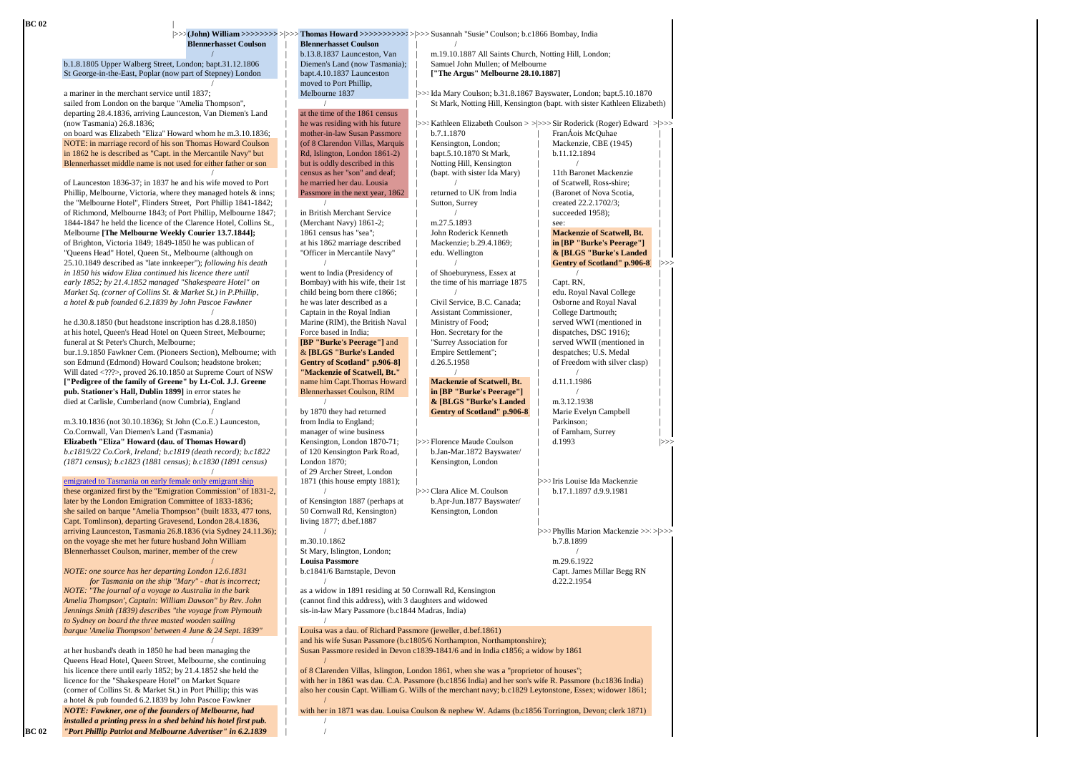| <b>Blennerhasset Coulson</b>                                                                                            | <b>Blennerhasset Coulson</b>                                      |                                                                                                        |                                                                          |
|-------------------------------------------------------------------------------------------------------------------------|-------------------------------------------------------------------|--------------------------------------------------------------------------------------------------------|--------------------------------------------------------------------------|
|                                                                                                                         | b.13.8.1837 Launceston, Van                                       | m.19.10.1887 All Saints Church, Notting Hill, London;                                                  |                                                                          |
| b.1.8.1805 Upper Walberg Street, London; bapt.31.12.1806                                                                | Diemen's Land (now Tasmania);                                     | Samuel John Mullen; of Melbourne                                                                       |                                                                          |
| St George-in-the-East, Poplar (now part of Stepney) London                                                              | bapt.4.10.1837 Launceston                                         | ["The Argus" Melbourne 28.10.1887]                                                                     |                                                                          |
|                                                                                                                         | moved to Port Phillip,                                            |                                                                                                        |                                                                          |
| a mariner in the merchant service until 1837;                                                                           | Melbourne 1837                                                    | >>> Ida Mary Coulson; b.31.8.1867 Bayswater, London; bapt.5.10.1870                                    |                                                                          |
| sailed from London on the barque "Amelia Thompson",                                                                     | at the time of the 1861 census                                    |                                                                                                        | St Mark, Notting Hill, Kensington (bapt. with sister Kathleen Elizabeth) |
| departing 28.4.1836, arriving Launceston, Van Diemen's Land<br>(now Tasmania) 26.8.1836;                                | he was residing with his future                                   |                                                                                                        | >>> Kathleen Elizabeth Coulson >>>>>> Sir Roderick (Roger) Edward >>>>   |
| on board was Elizabeth "Eliza" Howard whom he m.3.10.1836;                                                              | mother-in-law Susan Passmore                                      | b.7.1.1870                                                                                             | FranÁois McQuhae                                                         |
| NOTE: in marriage record of his son Thomas Howard Coulson                                                               | (of 8 Clarendon Villas, Marquis                                   | Kensington, London;                                                                                    | Mackenzie, CBE (1945)                                                    |
| in 1862 he is described as "Capt. in the Mercantile Navy" but                                                           | Rd, Islington, London 1861-2)                                     | bapt.5.10.1870 St Mark,                                                                                | b.11.12.1894                                                             |
| Blennerhasset middle name is not used for either father or son                                                          | but is oddly described in this                                    | Notting Hill, Kensington                                                                               |                                                                          |
|                                                                                                                         | census as her "son" and deaf;                                     | (bapt. with sister Ida Mary)                                                                           | 11th Baronet Mackenzie                                                   |
| of Launceston 1836-37; in 1837 he and his wife moved to Port                                                            | he married her dau. Lousia                                        |                                                                                                        | of Scatwell, Ross-shire;                                                 |
| Phillip, Melbourne, Victoria, where they managed hotels & inns;                                                         | Passmore in the next year, 1862                                   | returned to UK from India                                                                              | (Baronet of Nova Scotia,                                                 |
| the "Melbourne Hotel", Flinders Street, Port Phillip 1841-1842;                                                         |                                                                   | Sutton, Surrey                                                                                         | created 22.2.1702/3;                                                     |
| of Richmond, Melbourne 1843; of Port Phillip, Melbourne 1847;                                                           | in British Merchant Service                                       |                                                                                                        | succeeded 1958);                                                         |
| 1844-1847 he held the licence of the Clarence Hotel, Collins St.,                                                       | (Merchant Navy) 1861-2;                                           | m.27.5.1893                                                                                            | see:                                                                     |
| Melbourne [The Melbourne Weekly Courier 13.7.1844];                                                                     | 1861 census has "sea";                                            | John Roderick Kenneth                                                                                  | <b>Mackenzie of Scatwell, Bt.</b>                                        |
| of Brighton, Victoria 1849; 1849-1850 he was publican of                                                                | at his 1862 marriage described                                    | Mackenzie; b.29.4.1869;                                                                                | in [BP "Burke's Peerage"]                                                |
| "Queens Head" Hotel, Queen St., Melbourne (although on                                                                  | "Officer in Mercantile Navy"                                      | edu. Wellington                                                                                        | & [BLGS "Burke's Landed                                                  |
| 25.10.1849 described as "late innkeeper"); following his death                                                          |                                                                   |                                                                                                        | Gentry of Scotland" p.906-8<br> >>>                                      |
| in 1850 his widow Eliza continued his licence there until                                                               | went to India (Presidency of                                      | of Shoeburyness, Essex at                                                                              |                                                                          |
| early 1852; by 21.4.1852 managed "Shakespeare Hotel" on                                                                 | Bombay) with his wife, their 1st<br>child being born there c1866; | the time of his marriage 1875                                                                          | Capt. RN,                                                                |
| Market Sq. (corner of Collins St. & Market St.) in P.Phillip,                                                           |                                                                   |                                                                                                        | edu. Royal Naval College<br>Osborne and Royal Naval                      |
| a hotel & pub founded 6.2.1839 by John Pascoe Fawkner                                                                   | he was later described as a<br>Captain in the Royal Indian        | Civil Service, B.C. Canada;                                                                            | College Dartmouth;                                                       |
| he d.30.8.1850 (but headstone inscription has d.28.8.1850)                                                              | Marine (RIM), the British Naval                                   | Assistant Commissioner,<br>Ministry of Food;                                                           | served WWI (mentioned in                                                 |
| at his hotel, Queen's Head Hotel on Queen Street, Melbourne;                                                            | Force based in India;                                             | Hon. Secretary for the                                                                                 | dispatches, DSC 1916);                                                   |
| funeral at St Peter's Church, Melbourne;                                                                                | [BP "Burke's Peerage"] and                                        | "Surrey Association for                                                                                | served WWII (mentioned in                                                |
| bur.1.9.1850 Fawkner Cem. (Pioneers Section), Melbourne; with                                                           | & [BLGS "Burke's Landed                                           | Empire Settlement";                                                                                    | despatches; U.S. Medal                                                   |
| son Edmund (Edmond) Howard Coulson; headstone broken;                                                                   | Gentry of Scotland" p.906-8]                                      | d.26.5.1958                                                                                            | of Freedom with silver clasp)                                            |
| Will dated ?? , proved 26.10.1850 at Supreme Court of NSW                                                               | "Mackenzie of Scatwell, Bt."                                      | $\prime$                                                                                               |                                                                          |
| ["Pedigree of the family of Greene" by Lt-Col. J.J. Greene                                                              | name him Capt. Thomas Howard                                      | <b>Mackenzie of Scatwell, Bt.</b>                                                                      | d.11.1.1986                                                              |
| pub. Stationer's Hall, Dublin 1899] in error states he                                                                  | <b>Blennerhasset Coulson, RIM</b>                                 | in [BP "Burke's Peerage"]                                                                              |                                                                          |
| died at Carlisle, Cumberland (now Cumbria), England                                                                     |                                                                   | & [BLGS "Burke's Landed                                                                                | m.3.12.1938                                                              |
|                                                                                                                         | by 1870 they had returned                                         | <b>Gentry of Scotland" p.906-8</b>                                                                     | Marie Evelyn Campbell                                                    |
| m.3.10.1836 (not 30.10.1836); St John (C.o.E.) Launceston,                                                              | from India to England;                                            |                                                                                                        | Parkinson;                                                               |
| Co.Cornwall, Van Diemen's Land (Tasmania)                                                                               | manager of wine business                                          |                                                                                                        | of Farnham, Surrey                                                       |
| Elizabeth "Eliza" Howard (dau. of Thomas Howard)                                                                        | Kensington, London 1870-71;                                       | >>> Florence Maude Coulson                                                                             | d.1993<br>$\gg$                                                          |
| b.c1819/22 Co.Cork, Ireland; b.c1819 (death record); b.c1822                                                            | of 120 Kensington Park Road,                                      | b.Jan-Mar.1872 Bayswater/                                                                              |                                                                          |
| (1871 census); b.c1823 (1881 census); b.c1830 (1891 census)                                                             | London 1870;                                                      | Kensington, London                                                                                     |                                                                          |
|                                                                                                                         | of 29 Archer Street, London                                       |                                                                                                        |                                                                          |
| emigrated to Tasmania on early female only emigrant ship                                                                | 1871 (this house empty 1881);                                     |                                                                                                        | >>> Iris Louise Ida Mackenzie                                            |
| these organized first by the "Emigration Commission" of 1831-2,                                                         |                                                                   | >>> Clara Alice M. Coulson                                                                             | b.17.1.1897 d.9.9.1981                                                   |
| later by the London Emigration Committee of 1833-1836;<br>she sailed on barque "Amelia Thompson" (built 1833, 477 tons, | of Kensington 1887 (perhaps at                                    | b.Apr-Jun.1877 Bayswater/                                                                              |                                                                          |
| Capt. Tomlinson), departing Gravesend, London 28.4.1836,                                                                | 50 Cornwall Rd, Kensington)<br>living 1877; d.bef.1887            | Kensington, London                                                                                     |                                                                          |
| arriving Launceston, Tasmania 26.8.1836 (via Sydney 24.11.36);                                                          |                                                                   |                                                                                                        | >>>>> Phyllis Marion Mackenzie >>>>>>>>                                  |
| on the voyage she met her future husband John William                                                                   | m.30.10.1862                                                      |                                                                                                        | b.7.8.1899                                                               |
| Blennerhasset Coulson, mariner, member of the crew                                                                      | St Mary, Islington, London;                                       |                                                                                                        |                                                                          |
|                                                                                                                         | <b>Louisa Passmore</b>                                            |                                                                                                        | m.29.6.1922                                                              |
| NOTE: one source has her departing London 12.6.1831                                                                     | b.c1841/6 Barnstaple, Devon                                       |                                                                                                        | Capt. James Millar Begg RN                                               |
| for Tasmania on the ship "Mary" - that is incorrect;                                                                    | $\prime$                                                          |                                                                                                        | d.22.2.1954                                                              |
| NOTE: "The journal of a voyage to Australia in the bark                                                                 | as a widow in 1891 residing at 50 Cornwall Rd, Kensington         |                                                                                                        |                                                                          |
| Amelia Thompson', Captain: William Dawson" by Rev. John                                                                 | (cannot find this address), with 3 daughters and widowed          |                                                                                                        |                                                                          |
| Jennings Smith (1839) describes "the voyage from Plymouth                                                               | sis-in-law Mary Passmore (b.c1844 Madras, India)                  |                                                                                                        |                                                                          |
| to Sydney on board the three masted wooden sailing                                                                      |                                                                   |                                                                                                        |                                                                          |
| barque 'Amelia Thompson' between 4 June & 24 Sept. 1839"                                                                | Louisa was a dau. of Richard Passmore (jeweller, d.bef.1861)      |                                                                                                        |                                                                          |
|                                                                                                                         |                                                                   | and his wife Susan Passmore (b.c1805/6 Northampton, Northamptonshire);                                 |                                                                          |
| at her husband's death in 1850 he had been managing the                                                                 |                                                                   | Susan Passmore resided in Devon c1839-1841/6 and in India c1856; a widow by 1861                       |                                                                          |
| Queens Head Hotel, Queen Street, Melbourne, she continuing                                                              |                                                                   |                                                                                                        |                                                                          |
| his licence there until early 1852; by 21.4.1852 she held the                                                           |                                                                   | of 8 Clarenden Villas, Islington, London 1861, when she was a "proprietor of houses";                  |                                                                          |
| licence for the "Shakespeare Hotel" on Market Square                                                                    |                                                                   | with her in 1861 was dau. C.A. Passmore (b.c1856 India) and her son's wife R. Passmore (b.c1836 India) |                                                                          |
| (corner of Collins St. & Market St.) in Port Phillip; this was                                                          |                                                                   | also her cousin Capt. William G. Wills of the merchant navy; b.c1829 Leytonstone, Essex; widower 1861; |                                                                          |
| a hotel & pub founded 6.2.1839 by John Pascoe Fawkner                                                                   |                                                                   |                                                                                                        |                                                                          |
| NOTE: Fawkner, one of the founders of Melbourne, had                                                                    |                                                                   | with her in 1871 was dau. Louisa Coulson & nephew W. Adams (b.c1856 Torrington, Devon; clerk 1871)     |                                                                          |
| installed a printing press in a shed behind his hotel first pub.                                                        |                                                                   |                                                                                                        |                                                                          |

 $\mathbf I$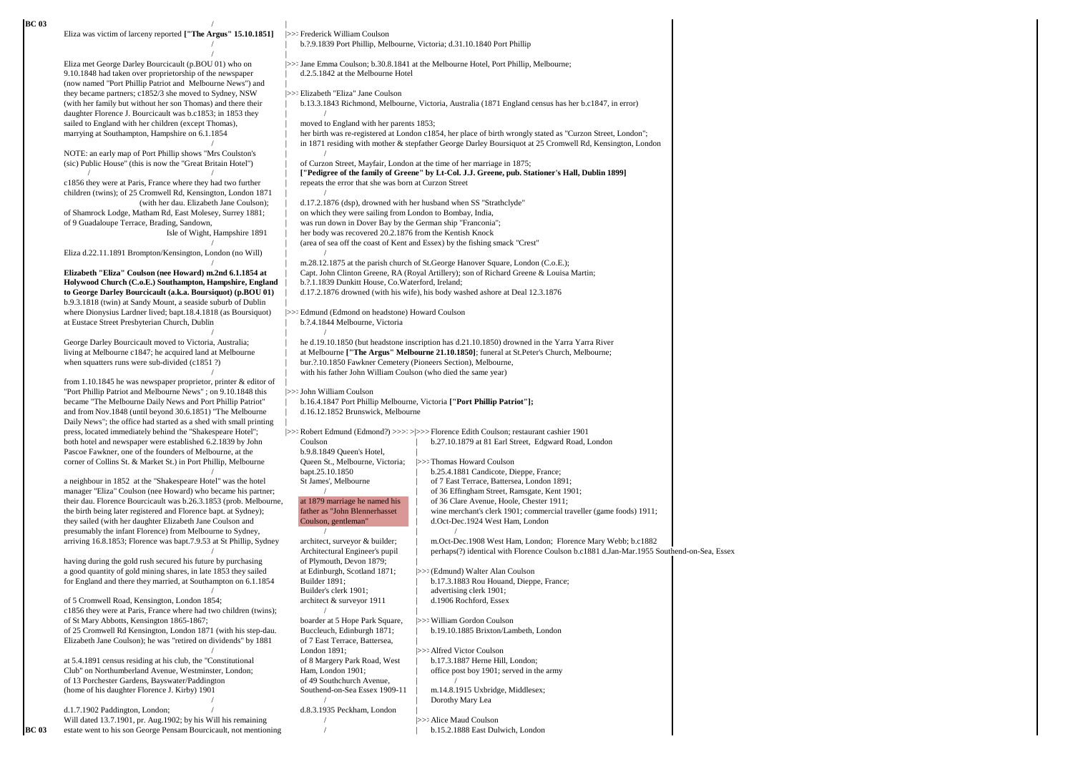| BC 03 | Eliza was victim of larceny reported ["The Argus" 15.10.1851]                                                                 | >>> Frederick William Coulson                                     |                                                                                                                                                                            |  |
|-------|-------------------------------------------------------------------------------------------------------------------------------|-------------------------------------------------------------------|----------------------------------------------------------------------------------------------------------------------------------------------------------------------------|--|
|       |                                                                                                                               |                                                                   | b. ?. 9.1839 Port Phillip, Melbourne, Victoria; d. 31.10.1840 Port Phillip                                                                                                 |  |
|       | Eliza met George Darley Bourcicault (p.BOU 01) who on                                                                         |                                                                   | $\gg$ : Jane Emma Coulson; b.30.8.1841 at the Melbourne Hotel, Port Phillip, Melbourne;                                                                                    |  |
|       | 9.10.1848 had taken over proprietorship of the newspaper                                                                      | d.2.5.1842 at the Melbourne Hotel                                 |                                                                                                                                                                            |  |
|       | (now named "Port Phillip Patriot and Melbourne News") and<br>they became partners; c1852/3 she moved to Sydney, NSW           | >>> Elizabeth "Eliza" Jane Coulson                                |                                                                                                                                                                            |  |
|       | (with her family but without her son Thomas) and there their                                                                  |                                                                   | b.13.3.1843 Richmond, Melbourne, Victoria, Australia (1871 England census has her b.c1847, in error)                                                                       |  |
|       | daughter Florence J. Bourcicault was b.c1853; in 1853 they                                                                    |                                                                   |                                                                                                                                                                            |  |
|       | sailed to England with her children (except Thomas),<br>marrying at Southampton, Hampshire on 6.1.1854                        | moved to England with her parents 1853;                           | her birth was re-registered at London c1854, her place of birth wrongly stated as "Curzon Street, London";                                                                 |  |
|       |                                                                                                                               |                                                                   | in 1871 residing with mother & stepfather George Darley Boursiquot at 25 Cromwell Rd, Kensington, London                                                                   |  |
|       | NOTE: an early map of Port Phillip shows "Mrs Coulston's<br>(sic) Public House" (this is now the "Great Britain Hotel")       |                                                                   |                                                                                                                                                                            |  |
|       |                                                                                                                               |                                                                   | of Curzon Street, Mayfair, London at the time of her marriage in 1875;<br>["Pedigree of the family of Greene" by Lt-Col. J.J. Greene, pub. Stationer's Hall, Dublin 1899]  |  |
|       | c1856 they were at Paris, France where they had two further                                                                   | repeats the error that she was born at Curzon Street              |                                                                                                                                                                            |  |
|       | children (twins); of 25 Cromwell Rd, Kensington, London 1871<br>(with her dau. Elizabeth Jane Coulson);                       | d.17.2.1876 (dsp), drowned with her husband when SS "Strathclyde" |                                                                                                                                                                            |  |
|       | of Shamrock Lodge, Matham Rd, East Molesey, Surrey 1881;                                                                      | on which they were sailing from London to Bombay, India,          |                                                                                                                                                                            |  |
|       | of 9 Guadaloupe Terrace, Brading, Sandown,                                                                                    | was run down in Dover Bay by the German ship "Franconia";         |                                                                                                                                                                            |  |
|       | Isle of Wight, Hampshire 1891                                                                                                 | her body was recovered 20.2.1876 from the Kentish Knock           | (area of sea off the coast of Kent and Essex) by the fishing smack "Crest"                                                                                                 |  |
|       | Eliza d.22.11.1891 Brompton/Kensington, London (no Will)                                                                      |                                                                   |                                                                                                                                                                            |  |
|       | Elizabeth "Eliza" Coulson (nee Howard) m.2nd 6.1.1854 at                                                                      |                                                                   | m.28.12.1875 at the parish church of St.George Hanover Square, London (C.o.E.);<br>Capt. John Clinton Greene, RA (Royal Artillery); son of Richard Greene & Louisa Martin; |  |
|       | Holywood Church (C.o.E.) Southampton, Hampshire, England                                                                      | b. ?. 1.1839 Dunkitt House, Co. Waterford, Ireland;               |                                                                                                                                                                            |  |
|       | to George Darley Bourcicault (a.k.a. Boursiquot) (p.BOU 01)                                                                   |                                                                   | d.17.2.1876 drowned (with his wife), his body washed ashore at Deal 12.3.1876                                                                                              |  |
|       | b.9.3.1818 (twin) at Sandy Mount, a seaside suburb of Dublin<br>where Dionysius Lardner lived; bapt.18.4.1818 (as Boursiquot) | >>> Edmund (Edmond on headstone) Howard Coulson                   |                                                                                                                                                                            |  |
|       | at Eustace Street Presbyterian Church, Dublin                                                                                 | b. ?. 4.1844 Melbourne, Victoria                                  |                                                                                                                                                                            |  |
|       | George Darley Bourcicault moved to Victoria, Australia;                                                                       |                                                                   | he d.19.10.1850 (but headstone inscription has d.21.10.1850) drowned in the Yarra Yarra River                                                                              |  |
|       | living at Melbourne c1847; he acquired land at Melbourne                                                                      |                                                                   | at Melbourne ["The Argus" Melbourne 21.10.1850]; funeral at St. Peter's Church, Melbourne;                                                                                 |  |
|       | when squatters runs were sub-divided (c1851?)                                                                                 | bur. ?. 10.1850 Fawkner Cemetery (Pioneers Section), Melbourne,   |                                                                                                                                                                            |  |
|       | from $1.10.1845$ he was newspaper proprietor, printer $\&$ editor of                                                          | with his father John William Coulson (who died the same year)     |                                                                                                                                                                            |  |
|       | "Port Phillip Patriot and Melbourne News"; on 9.10.1848 this                                                                  | $ >>$ : John William Coulson                                      |                                                                                                                                                                            |  |
|       | became "The Melbourne Daily News and Port Phillip Patriot"<br>and from Nov.1848 (until beyond 30.6.1851) "The Melbourne       | d.16.12.1852 Brunswick, Melbourne                                 | b.16.4.1847 Port Phillip Melbourne, Victoria ["Port Phillip Patriot"];                                                                                                     |  |
|       | Daily News"; the office had started as a shed with small printing                                                             |                                                                   |                                                                                                                                                                            |  |
|       | press, located immediately behind the "Shakespeare Hotel";                                                                    | Coulson                                                           | >>> Robert Edmund (Edmond?) >>>> > > > Florence Edith Coulson; restaurant cashier 1901                                                                                     |  |
|       | both hotel and newspaper were established 6.2.1839 by John<br>Pascoe Fawkner, one of the founders of Melbourne, at the        | b.9.8.1849 Queen's Hotel,                                         | b.27.10.1879 at 81 Earl Street, Edgward Road, London                                                                                                                       |  |
|       | corner of Collins St. & Market St.) in Port Phillip, Melbourne                                                                | Queen St., Melbourne, Victoria; >>> Thomas Howard Coulson         |                                                                                                                                                                            |  |
|       | a neighbour in 1852 at the "Shakespeare Hotel" was the hotel                                                                  | bapt.25.10.1850<br>St James', Melbourne                           | b.25.4.1881 Candicote, Dieppe, France;<br>of 7 East Terrace, Battersea, London 1891;                                                                                       |  |
|       | manager "Eliza" Coulson (nee Howard) who became his partner;                                                                  |                                                                   | of 36 Effingham Street, Ramsgate, Kent 1901;                                                                                                                               |  |
|       | their dau. Florence Bourcicault was b.26.3.1853 (prob. Melbourne,                                                             | at 1879 marriage he named his<br>father as "John Blennerhasset    | of 36 Clare Avenue, Hoole, Chester 1911;                                                                                                                                   |  |
|       | the birth being later registered and Florence bapt. at Sydney);<br>they sailed (with her daughter Elizabeth Jane Coulson and  | Coulson, gentleman"                                               | wine merchant's clerk 1901; commercial traveller (game foods) 1911;<br>d.Oct-Dec.1924 West Ham, London                                                                     |  |
|       | presumably the infant Florence) from Melbourne to Sydney,                                                                     | $\sqrt{2}$                                                        |                                                                                                                                                                            |  |
|       | arriving 16.8.1853; Florence was bapt.7.9.53 at St Phillip, Sydney                                                            | architect, surveyor & builder;<br>Architectural Engineer's pupil  | m.Oct-Dec.1908 West Ham, London; Florence Mary Webb; b.c1882<br>perhaps(?) identical with Florence Coulson b.c1881 d.Jan-Mar.1955 Southend-on-Sea, Essex                   |  |
|       | having during the gold rush secured his future by purchasing                                                                  | of Plymouth, Devon 1879;                                          |                                                                                                                                                                            |  |
|       | a good quantity of gold mining shares, in late 1853 they sailed                                                               | at Edinburgh, Scotland 1871;                                      | >>> (Edmund) Walter Alan Coulson<br>b.17.3.1883 Rou Houand, Dieppe, France;                                                                                                |  |
|       | for England and there they married, at Southampton on 6.1.1854                                                                | Builder 1891;<br>Builder's clerk 1901;                            | advertising clerk 1901;                                                                                                                                                    |  |
|       | of 5 Cromwell Road, Kensington, London 1854;                                                                                  | architect & surveyor 1911                                         | d.1906 Rochford, Essex                                                                                                                                                     |  |
|       | c1856 they were at Paris, France where had two children (twins);<br>of St Mary Abbotts, Kensington 1865-1867;                 | boarder at 5 Hope Park Square,                                    | >>> William Gordon Coulson                                                                                                                                                 |  |
|       | of 25 Cromwell Rd Kensington, London 1871 (with his step-dau.                                                                 | Buccleuch, Edinburgh 1871;                                        | b.19.10.1885 Brixton/Lambeth, London                                                                                                                                       |  |
|       | Elizabeth Jane Coulson); he was "retired on dividends" by 1881                                                                | of 7 East Terrace, Battersea,<br>London 1891;                     | >>> Alfred Victor Coulson                                                                                                                                                  |  |
|       | at 5.4.1891 census residing at his club, the "Constitutional                                                                  | of 8 Margery Park Road, West                                      | b.17.3.1887 Herne Hill, London;                                                                                                                                            |  |
|       | Club" on Northumberland Avenue, Westminster, London;                                                                          | Ham, London 1901;                                                 | office post boy 1901; served in the army                                                                                                                                   |  |
|       | of 13 Porchester Gardens, Bayswater/Paddington<br>(home of his daughter Florence J. Kirby) 1901                               | of 49 Southchurch Avenue,<br>Southend-on-Sea Essex 1909-11        | m.14.8.1915 Uxbridge, Middlesex;                                                                                                                                           |  |
|       |                                                                                                                               |                                                                   | Dorothy Mary Lea                                                                                                                                                           |  |
|       | d.1.7.1902 Paddington, London;<br>Will dated 13.7.1901, pr. Aug.1902; by his Will his remaining                               | d.8.3.1935 Peckham, London                                        | >>> Alice Maud Coulson                                                                                                                                                     |  |
| BC 03 | estate went to his son George Pensam Bourcicault, not mentioning                                                              |                                                                   | b.15.2.1888 East Dulwich, London                                                                                                                                           |  |